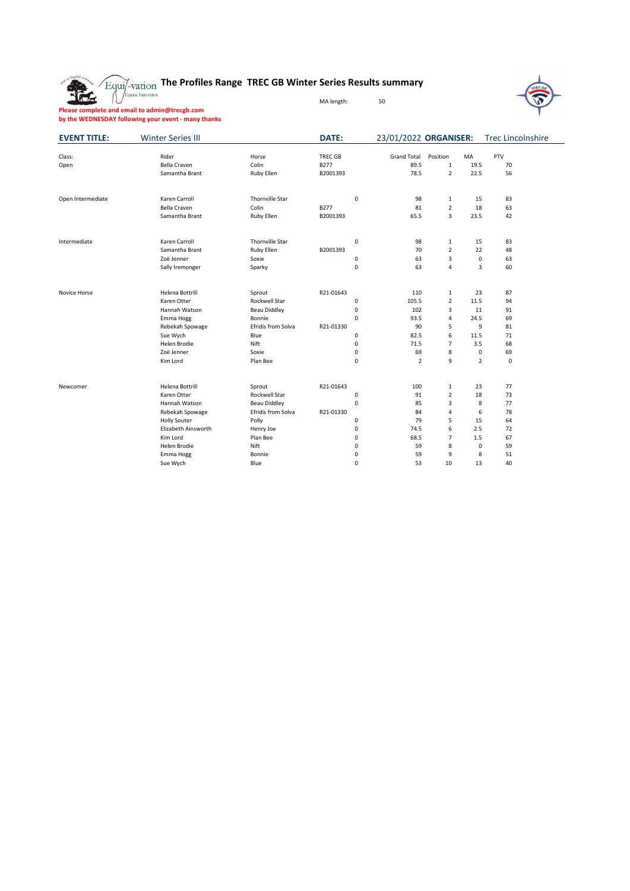

### **The Profiles Range TREC GB Winter Series Results summary**

MA length: 50



**Please complete and email to admin@trecgb.com by the WEDNESDAY following your event - many thanks**

| <b>EVENT TITLE:</b> | <b>Winter Series III</b> |                        | <b>DATE:</b>   |             | 23/01/2022 ORGANISER: |                |                | <b>Trec Lincolnshire</b> |  |
|---------------------|--------------------------|------------------------|----------------|-------------|-----------------------|----------------|----------------|--------------------------|--|
| Class:              | Rider                    | Horse                  | <b>TREC GB</b> |             | <b>Grand Total</b>    | Position       | MA             | PTV                      |  |
| Open                | <b>Bella Craven</b>      | Colin                  | B277           |             | 89.5                  | 1              | 19.5           | 70                       |  |
|                     | Samantha Brant           | Ruby Ellen             | B2001393       |             | 78.5                  | $\overline{2}$ | 22.5           | 56                       |  |
| Open Intermediate   | Karen Carroll            | <b>Thornville Star</b> |                | 0           | 98                    | $\mathbf{1}$   | 15             | 83                       |  |
|                     | Bella Craven             | Colin                  | B277           |             | 81                    | $\overline{2}$ | 18             | 63                       |  |
|                     | Samantha Brant           | Ruby Ellen             | B2001393       |             | 65.5                  | 3              | 23.5           | 42                       |  |
| Intermediate        | Karen Carroll            | <b>Thornville Star</b> |                | $\mathsf 0$ | 98                    | $\mathbf{1}$   | 15             | 83                       |  |
|                     | Samantha Brant           | <b>Ruby Ellen</b>      | B2001393       |             | 70                    | $\overline{2}$ | 22             | 48                       |  |
|                     | Zoë Jenner               | Soxie                  |                | 0           | 63                    | 3              | 0              | 63                       |  |
|                     | Sally Iremonger          | Sparky                 |                | $\mathsf 0$ | 63                    | 4              | 3              | 60                       |  |
| Novice Horse        | Helena Bottrill          | Sprout                 | R21-01643      |             | 110                   | $\mathbf{1}$   | 23             | 87                       |  |
|                     | Karen Otter              | Rockwell Star          |                | 0           | 105.5                 | $\overline{2}$ | 11.5           | 94                       |  |
|                     | Hannah Watson            | <b>Beau Diddley</b>    |                | $\mathsf 0$ | 102                   | 3              | 11             | 91                       |  |
|                     | Emma Hogg                | Bonnie                 |                | $\mathbf 0$ | 93.5                  | 4              | 24.5           | 69                       |  |
|                     | Rebekah Spowage          | Efridís from Solva     | R21-01330      |             | 90                    | 5              | 9              | 81                       |  |
|                     | Sue Wych                 | Blue                   |                | $\mathsf 0$ | 82.5                  | 6              | 11.5           | 71                       |  |
|                     | Helen Brodie             | Nift                   |                | $\mathsf 0$ | 71.5                  | $\overline{7}$ | 3.5            | 68                       |  |
|                     | Zoë Jenner               | Soxie                  |                | $\pmb{0}$   | 69                    | 8              | 0              | 69                       |  |
|                     | Kim Lord                 | Plan Bee               |                | $\mathsf 0$ | $\overline{2}$        | 9              | $\overline{2}$ | $\mathbf 0$              |  |
| Newcomer            | Helena Bottrill          | Sprout                 | R21-01643      |             | 100                   | $\mathbf{1}$   | 23             | 77                       |  |
|                     | Karen Otter              | Rockwell Star          |                | 0           | 91                    | $\overline{2}$ | 18             | 73                       |  |
|                     | Hannah Watson            | <b>Beau Diddley</b>    |                | $\pmb{0}$   | 85                    | 3              | 8              | 77                       |  |
|                     | Rebekah Spowage          | Efridís from Solva     | R21-01330      |             | 84                    | 4              | 6              | 78                       |  |
|                     | <b>Holly Souter</b>      | Polly                  |                | $\mathsf 0$ | 79                    | 5              | 15             | 64                       |  |
|                     | Elizabeth Ainsworth      | Henry Joe              |                | $\mathsf 0$ | 74.5                  | 6              | 2.5            | 72                       |  |
|                     | Kim Lord                 | Plan Bee               |                | $\mathsf 0$ | 68.5                  | $\overline{7}$ | 1.5            | 67                       |  |
|                     | Helen Brodie             | Nift                   |                | $\mathsf 0$ | 59                    | 8              | 0              | 59                       |  |
|                     | Emma Hogg                | Bonnie                 |                | 0           | 59                    | 9              | 8              | 51                       |  |
|                     | Sue Wych                 | Blue                   |                | $\mathbf 0$ | 53                    | 10             | 13             | 40                       |  |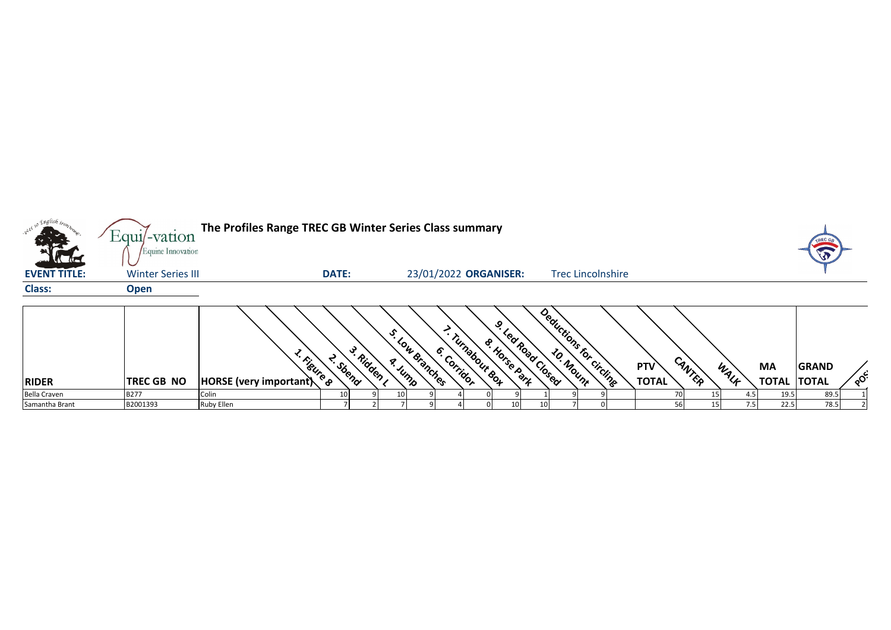| <sub>o</sub> Englis <i>h iro</i> z | Equi/-vation             | The Profiles Range TREC GB Winter Series Class summary |              |           |                 |                                |                              |                 |                          |              |        |      |              | TREC         |            |
|------------------------------------|--------------------------|--------------------------------------------------------|--------------|-----------|-----------------|--------------------------------|------------------------------|-----------------|--------------------------|--------------|--------|------|--------------|--------------|------------|
| <b>ATH</b>                         | Equine Innovation        |                                                        |              |           |                 |                                |                              |                 |                          |              |        |      |              |              |            |
| <b>EVENT TITLE:</b>                | <b>Winter Series III</b> |                                                        | <b>DATE:</b> |           |                 | 23/01/2022 ORGANISER:          |                              |                 | <b>Trec Lincolnshire</b> |              |        |      |              |              |            |
| <b>Class:</b>                      | <b>Open</b>              |                                                        |              |           |                 |                                |                              |                 |                          |              |        |      |              |              |            |
|                                    |                          | <sup>L. Figure 8</sup>                                 | A Sbend      | 3. Ridden | s. Low Branches | - Turnabour &o4<br>6. Corridor | ݡ<br><b>&amp; Horse Part</b> | Lea Road Closed | Deductions for circline  | <b>PTV</b>   | CANTER |      | <b>MA</b>    | <b>GRAND</b> |            |
| <b>RIDER</b>                       | <b>TREC GB NO</b>        | HORSE (very important)                                 |              |           |                 |                                |                              |                 |                          | <b>TOTAL</b> |        | WALF | <b>TOTAL</b> | <b>TOTAL</b> | $\delta^2$ |
| <b>Bella Craven</b>                | <b>B277</b>              | Colin                                                  | 10           |           |                 |                                |                              |                 |                          |              |        |      | 19.5         | 89.5         |            |
| Samantha Brant                     | B2001393                 | Ruby Ellen                                             |              |           |                 |                                |                              |                 |                          |              | 56     | 7.5  | 22.5         | 78.5         |            |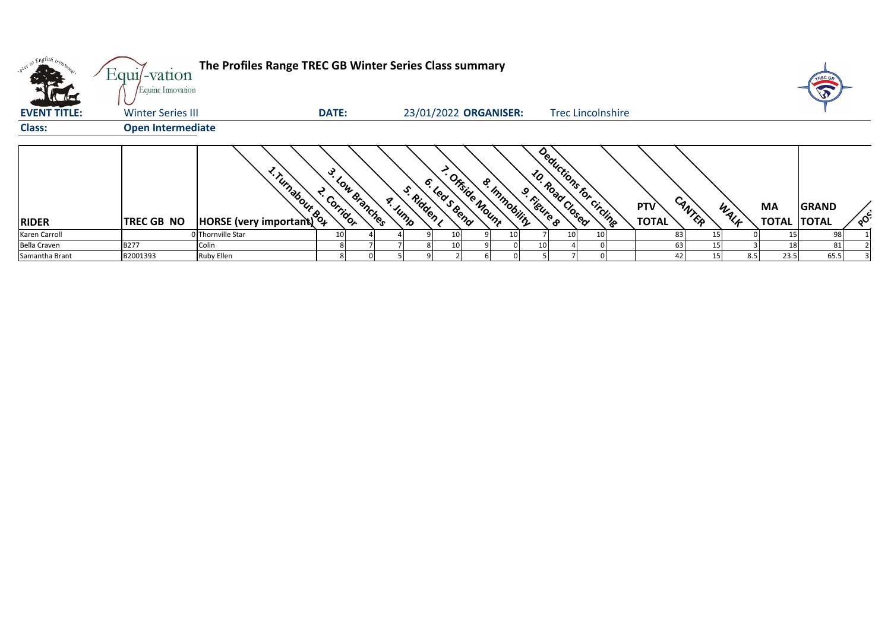|                                   | Equi/-vation                                  | The Profiles Range TREC GB Winter Series Class summary |                                         |              |         |             |              |                 |                         |             |                          |  |                            |                 |      |                          | TREC GE      |                      |
|-----------------------------------|-----------------------------------------------|--------------------------------------------------------|-----------------------------------------|--------------|---------|-------------|--------------|-----------------|-------------------------|-------------|--------------------------|--|----------------------------|-----------------|------|--------------------------|--------------|----------------------|
| <b>ALC</b><br><b>EVENT TITLE:</b> | Equine Innovation<br><b>Winter Series III</b> |                                                        | <b>DATE:</b>                            |              |         |             |              |                 | 23/01/2022 ORGANISER:   |             | <b>Trec Lincolnshire</b> |  |                            |                 |      |                          |              |                      |
| <b>Class:</b>                     | <b>Open Intermediate</b>                      |                                                        |                                         |              |         |             |              |                 |                         |             |                          |  |                            |                 |      |                          |              |                      |
| <b>RIDER</b>                      | TREC GB NO                                    | HORSE (very important)                                 | $\mathcal{S}_{\mathcal{A}}$<br>Corridor | Low Branches | a. Jump | S. Ridden I | 6. Leas Bend | - Offside Mount | <b>&amp; Immobility</b> | 9. Kigure 8 | Deductions for circling  |  | <b>PTV</b><br><b>TOTAL</b> | CANTER          | WALF | MA<br><b>TOTAL TOTAL</b> | <b>GRAND</b> | $\circ$ <sup>c</sup> |
| Karen Carroll                     |                                               | 0 Thornville Star                                      | 10                                      |              |         |             | 10           |                 | 10                      |             | 10                       |  | 83                         |                 |      |                          |              |                      |
| <b>Bella Craven</b>               | <b>B277</b>                                   | Colin                                                  |                                         |              |         |             |              |                 |                         | 10          |                          |  | 63                         |                 |      |                          |              |                      |
| Samantha Brant                    | B2001393                                      | <b>Ruby Ellen</b>                                      |                                         |              |         |             |              |                 |                         |             |                          |  |                            | 15 <sub>l</sub> | 8.5  | 23.5                     | 65.5         |                      |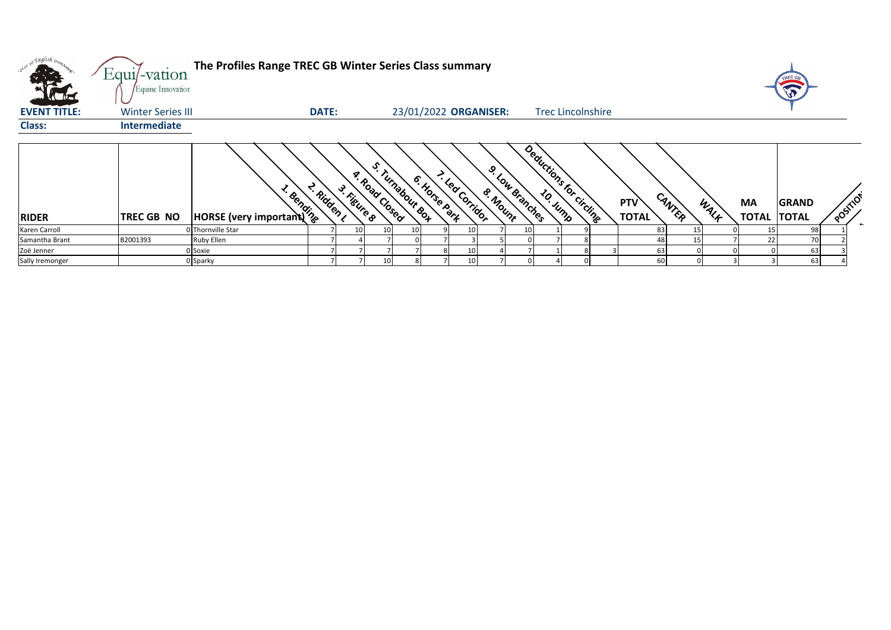| <b>KTH</b>          | Equi/-vation<br>Equine Innovation | The Profiles Range TREC GB Winter Series Class summary |              |                             |                       |               |                |              |                 |                          |                            |        |      |    | TREC GR                            |           |
|---------------------|-----------------------------------|--------------------------------------------------------|--------------|-----------------------------|-----------------------|---------------|----------------|--------------|-----------------|--------------------------|----------------------------|--------|------|----|------------------------------------|-----------|
| <b>EVENT TITLE:</b> | <b>Winter Series III</b>          |                                                        | <b>DATE:</b> |                             | 23/01/2022 ORGANISER: |               |                |              |                 | <b>Trec Lincolnshire</b> |                            |        |      |    |                                    |           |
| <b>Class:</b>       | Intermediate                      |                                                        |              |                             |                       |               |                |              |                 |                          |                            |        |      |    |                                    |           |
| <b>RIDER</b>        | <b>TREC GB NO</b>                 | <b>All Controls</b><br>HORSE (very important)          | L. Ridden ,  | A. Road Useg<br>3. Figure 8 | s. Turnabour Box      | 6. Horse Park | - Lea Corridor | ୰<br>& Mount | J. Low Branches | Deductions for circling  | <b>PTV</b><br><b>TOTAL</b> | CANTER | WALK | MA | <b>GRAND</b><br><b>TOTAL TOTAL</b> | POSITIC'S |
| Karen Carroll       |                                   | 0 Thornville Star                                      |              |                             |                       |               | 10             |              | 10 <sub>l</sub> |                          |                            | 83     |      |    | 98                                 |           |
| Samantha Brant      | B2001393                          | Ruby Ellen                                             |              |                             |                       |               |                |              |                 |                          |                            | 48     | 15   | 22 | 70                                 |           |
| Zoë Jenner          |                                   | 0 Soxie                                                |              |                             |                       |               |                |              |                 |                          |                            | 63     |      |    | 63                                 |           |
| Sally Iremonger     |                                   | 0 Sparky                                               |              |                             |                       |               |                |              |                 |                          |                            | 60     |      |    | 63                                 |           |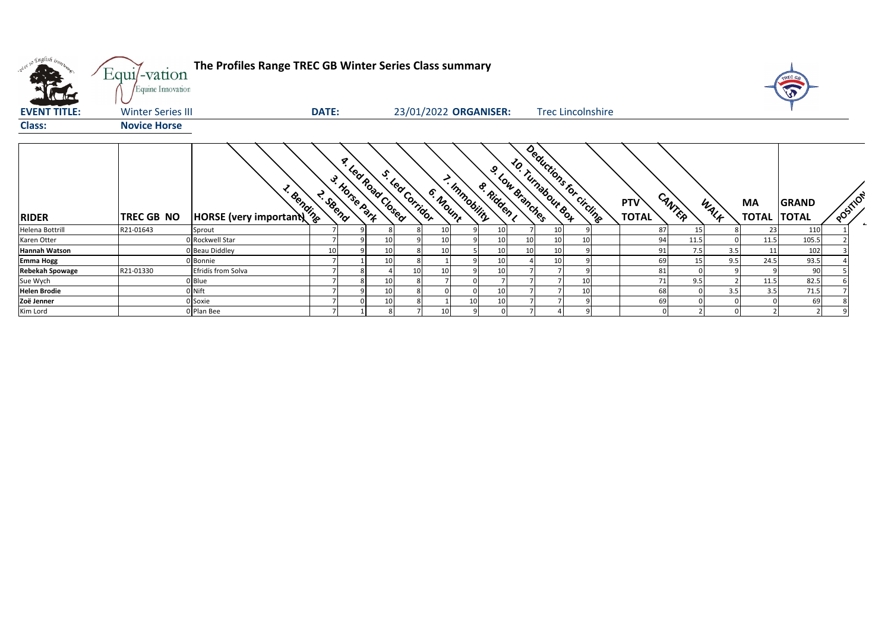| with so English trong  | Equi/-vation<br>Equine Innovation | The Profiles Range TREC GB Winter Series Class summary |              |              |                   |                  |          |                       |                  |                                      |                          |                            |                 |      |                          | TREC GB<br>5 |          |                          |
|------------------------|-----------------------------------|--------------------------------------------------------|--------------|--------------|-------------------|------------------|----------|-----------------------|------------------|--------------------------------------|--------------------------|----------------------------|-----------------|------|--------------------------|--------------|----------|--------------------------|
| <b>EVENT TITLE:</b>    | <b>Winter Series III</b>          |                                                        | <b>DATE:</b> |              |                   |                  |          | 23/01/2022 ORGANISER: |                  |                                      | <b>Trec Lincolnshire</b> |                            |                 |      |                          |              |          |                          |
| <b>Class:</b>          | <b>Novice Horse</b>               |                                                        |              |              |                   |                  |          |                       |                  |                                      |                          |                            |                 |      |                          |              |          |                          |
| <b>RIDER</b>           | <b>TREC GB NO</b>                 | · Bending<br>HORSE (very important)                    | 2. SBend     | - Horse Park | a Lea Road Closed | s. led Corribbre | 6. Mount | - Immobility          | وي<br>& Ridden I | 10. Turnabour 80+<br>3. Low Branches | Deductions for circling  | <b>PTV</b><br><b>TOTAL</b> | CANTER          | WALK | MA<br><b>TOTAL TOTAL</b> | <b>GRAND</b> | POSTILON | $\overline{\phantom{a}}$ |
| Helena Bottrill        | R21-01643                         | Sprout                                                 |              |              |                   |                  | 10       |                       | 10               |                                      |                          | 87                         | 15              |      | 23                       | 110          |          |                          |
| Karen Otter            |                                   | 0 Rockwell Star                                        |              |              | 10                |                  | 10       |                       | 1(               | 10<br>10                             |                          | 94                         | 11.5            |      | 11.5                     | 105.5        |          |                          |
| <b>Hannah Watson</b>   |                                   | 0 Beau Diddley                                         | 10           |              | 10                |                  | 10       |                       | 10               | 10<br>10                             |                          | 91                         | 7.5             | 3.5  | 11                       | 102          |          |                          |
| <b>Emma Hogg</b>       |                                   | 0 Bonnie                                               |              |              | 10                |                  |          |                       | 10               | 10                                   |                          | 69                         | 15 <sub>1</sub> | 9.5  | 24.5                     | 93.5         |          |                          |
| <b>Rebekah Spowage</b> | R21-01330                         | Efridís from Solva                                     |              |              |                   | 10               | 10       |                       | 10               |                                      |                          | 81                         |                 |      |                          | 90           |          |                          |
| Sue Wych               |                                   | 0 Blue                                                 |              |              | 10                | 8                |          |                       |                  |                                      |                          | 71                         | 9.5             |      | 11.5                     | 82.5         |          |                          |
| <b>Helen Brodie</b>    |                                   | 0 Nift                                                 |              |              | 10                |                  |          |                       | 10               |                                      |                          | 68                         |                 | 3.5  | 3.5                      | 71.5         |          |                          |
| Zoë Jenner             |                                   | 0 Soxie                                                |              |              | 10                |                  |          | 10                    |                  |                                      |                          | 69                         |                 |      |                          | 69           |          |                          |
| Kim Lord               |                                   | 0 Plan Bee                                             |              |              |                   |                  | 10       |                       |                  |                                      |                          |                            |                 |      |                          |              |          |                          |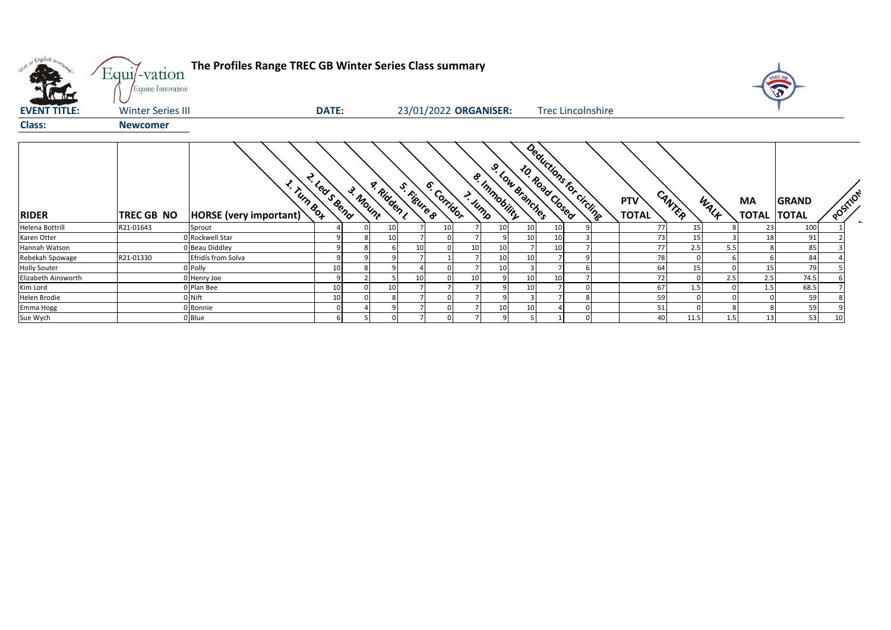| what so English trong | Equi/-vation<br>Equine Innovation | The Profiles Range TREC GB Winter Series Class summary |                |          |             |    |                            |        |                 |                                            |                                                   |  |                            |          |      |                           |                              |                        |
|-----------------------|-----------------------------------|--------------------------------------------------------|----------------|----------|-------------|----|----------------------------|--------|-----------------|--------------------------------------------|---------------------------------------------------|--|----------------------------|----------|------|---------------------------|------------------------------|------------------------|
| <b>EVENT TITLE:</b>   | <b>Winter Series III</b>          |                                                        | <b>DATE:</b>   |          |             |    | 23/01/2022 ORGANISER:      |        |                 |                                            | <b>Trec Lincolnshire</b>                          |  |                            |          |      |                           |                              |                        |
| <b>Class:</b>         | <b>Newcomer</b>                   |                                                        |                |          |             |    |                            |        |                 |                                            |                                                   |  |                            |          |      |                           |                              |                        |
| <b>RIDER</b>          | TREC GB NO                        | <b>x. Turn 804</b><br>HORSE (very important)           | 2. lease Bend  | 3. Mount | a. Ridden I |    | 6. Corridor<br>S. Figure 8 | > Jump |                 | 9. Low Branches<br><b>&amp; Immobility</b> | Deductions for circlinge<br><b>10. Road Cosed</b> |  | <b>PTV</b><br><b>TOTAL</b> | CANTER   | WALK | <b>MA</b><br><b>TOTAL</b> | <b>GRAND</b><br><b>TOTAL</b> | POSTILON<br>$\epsilon$ |
| Helena Bottrill       | R21-01643                         | Sprout                                                 |                |          | 10          |    |                            |        | 10 <sup>1</sup> | 10                                         | 10                                                |  | 77                         | 15       |      | 23                        | 100                          |                        |
| Karen Otter           |                                   | 0 Rockwell Star                                        | 9              |          | 10          |    |                            |        |                 | 10                                         | 10                                                |  | 73                         | 15       |      | 18                        | 91                           |                        |
| Hannah Watson         |                                   | 0 Beau Diddley                                         | 9              |          |             | 10 |                            | 10     | 10              |                                            | 10                                                |  | 77                         | 2.5      | 5.5  |                           | 85                           |                        |
| Rebekah Spowage       | R21-01330                         | Efridís from Solva                                     | 9              |          |             |    |                            |        | 10              | 10 <sup>1</sup>                            |                                                   |  | 78                         | $\Omega$ |      |                           | 84                           |                        |
| <b>Holly Souter</b>   |                                   | 0 Polly                                                | 10             |          |             |    |                            |        | 10 <sup>1</sup> |                                            |                                                   |  | 64                         | 15       |      | 15                        | 79                           |                        |
| Elizabeth Ainsworth   |                                   | 0 Henry Joe                                            | $\overline{9}$ |          |             | 10 |                            | 10     |                 | 10                                         | 10                                                |  | 72                         |          | 2.5  | 2.5                       | 74.5                         |                        |
| Kim Lord              |                                   | 0 Plan Bee                                             | 10             |          | 10          |    |                            |        |                 | 10                                         |                                                   |  | 67                         | 1.5      |      | 1.5                       | 68.5                         |                        |
| Helen Brodie          |                                   | 0 Nift                                                 | 10             |          |             |    |                            |        |                 |                                            |                                                   |  | 59                         |          |      |                           | 59                           |                        |
| Emma Hogg             |                                   | 0 Bonnie                                               |                |          |             |    |                            |        | 10 <sup>1</sup> | 10                                         |                                                   |  | 51                         |          |      |                           | 59                           |                        |
| Sue Wych              |                                   | 0 Blue                                                 | 6 <sup>1</sup> |          |             |    |                            |        |                 |                                            |                                                   |  | 40                         | 11.5     |      | 13                        | 53                           |                        |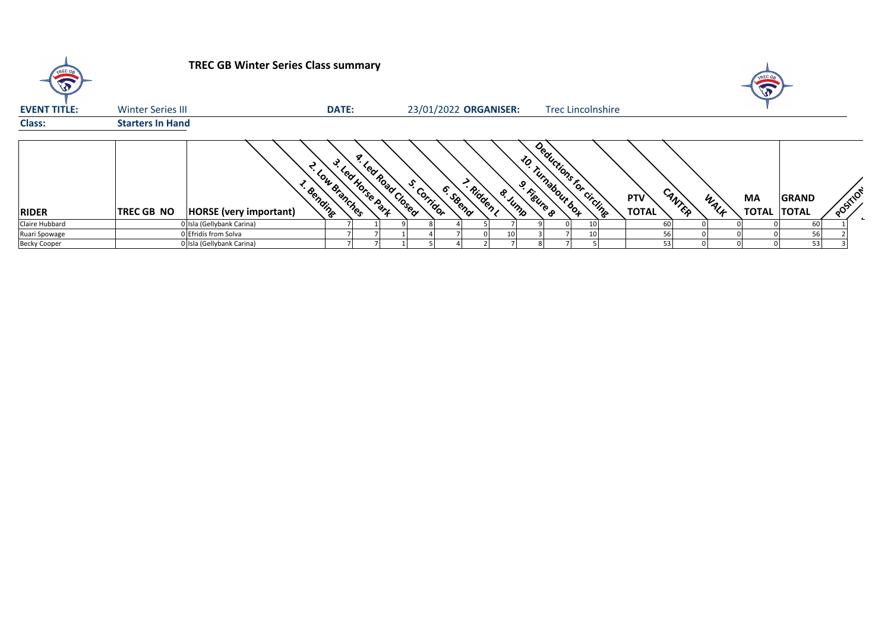| TREC GA             |                          | <b>TREC GB Winter Series Class summary</b> |                 |                          |                    |             |          |          |                       |             |                                                |  |                            |        |      | A                        |              |          |                |
|---------------------|--------------------------|--------------------------------------------|-----------------|--------------------------|--------------------|-------------|----------|----------|-----------------------|-------------|------------------------------------------------|--|----------------------------|--------|------|--------------------------|--------------|----------|----------------|
| <b>EVENT TITLE:</b> | <b>Winter Series III</b> |                                            | <b>DATE:</b>    |                          |                    |             |          |          | 23/01/2022 ORGANISER: |             | <b>Trec Lincolnshire</b>                       |  |                            |        |      |                          |              |          |                |
| <b>Class:</b>       | <b>Starters In Hand</b>  |                                            |                 |                          |                    |             |          |          |                       |             |                                                |  |                            |        |      |                          |              |          |                |
| <b>RIDER</b>        | <b>TREC GB NO</b>        | · Bending<br><b>HORSE</b> (very important) | L. Low Branches | <b>S. Led Horse Part</b> | x. Led Road Closed | s. Corridor | 6. SBend | - Ridden | & Jump                | 9. Kigure 8 | Deductions for circlingen<br>10. Turnabout box |  | <b>PTV</b><br><b>TOTAL</b> | CANTER | WALF | МA<br><b>TOTAL TOTAL</b> | <b>GRAND</b> | POSITION | $\overline{ }$ |
| Claire Hubbard      |                          | 0 Isla (Gellybank Carina)                  |                 |                          |                    |             |          |          |                       |             |                                                |  |                            | 60     |      |                          | 60           |          |                |
| Ruari Spowage       |                          | 0 Efridís from Solva                       |                 |                          |                    |             |          |          |                       |             |                                                |  |                            | 56     |      |                          | 56           |          |                |
| <b>Becky Cooper</b> |                          | 0 Isla (Gellybank Carina)                  |                 |                          |                    |             |          |          |                       |             |                                                |  |                            | 53     |      |                          | 53           |          |                |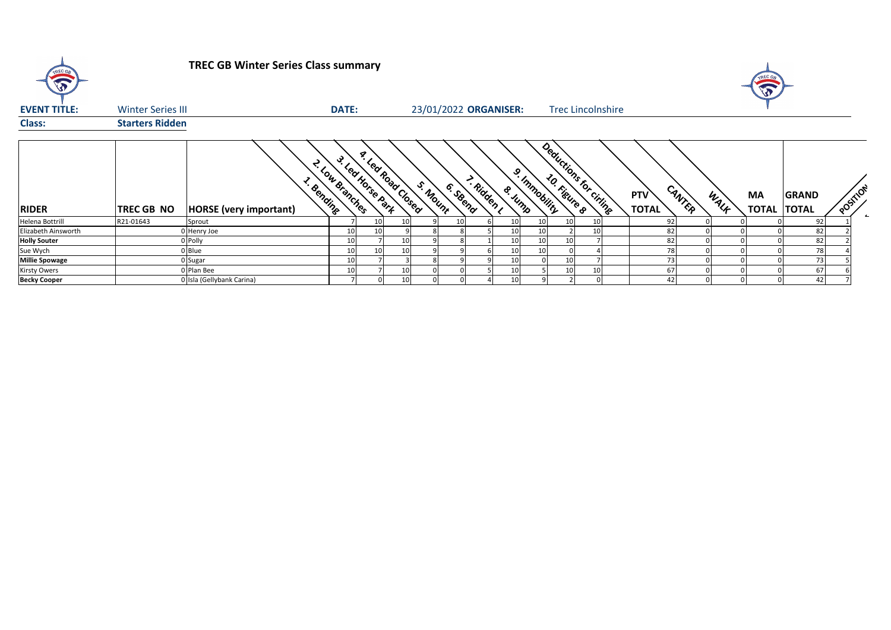| <b>TREC GA</b><br>$\sqrt{3}$ |                          | <b>TREC GB Winter Series Class summary</b>        |                |                                        |                 |          |                       |             |               |                          |                            |        |      | <b>SP</b>   |                              |          |
|------------------------------|--------------------------|---------------------------------------------------|----------------|----------------------------------------|-----------------|----------|-----------------------|-------------|---------------|--------------------------|----------------------------|--------|------|-------------|------------------------------|----------|
| <b>EVENT TITLE:</b>          | <b>Winter Series III</b> |                                                   | <b>DATE:</b>   |                                        |                 |          | 23/01/2022 ORGANISER: |             |               | <b>Trec Lincolnshire</b> |                            |        |      |             |                              |          |
| <b>Class:</b>                | <b>Starters Ridden</b>   |                                                   |                |                                        |                 |          |                       |             |               |                          |                            |        |      |             |                              |          |
| <b>RIDER</b>                 | <b>TREC GB NO</b>        | <b>E</b> Bending<br><b>HORSE</b> (very important) | - Low Branches | a Lea Road Closed<br>3. Led Horse Park |                 | S. Mount | > Ridden<br>6. Steend | ୰<br>& Jump | J. Immobility | Deductions for citing    | <b>PTV</b><br><b>TOTAL</b> | CANTER | WALK | MA<br>TOTAL | <b>GRAND</b><br><b>TOTAL</b> | POSTILOT |
| Helena Bottrill              | R21-01643                | Sprout                                            |                | 10                                     | 10 <sup>1</sup> |          | 10                    | 10          | 10<br>10      |                          | 92                         |        |      |             | 92                           |          |
| Elizabeth Ainsworth          |                          | 0 Henry Joe                                       | 10             | 10                                     |                 |          |                       |             | 10            |                          | 82                         |        |      |             | 82                           |          |
| <b>Holly Souter</b>          |                          | 0 Polly                                           | 10             |                                        | 10 <sup>1</sup> |          |                       |             | 10            |                          | 82                         |        |      |             | 82                           |          |
| Sue Wych                     |                          | 0 Blue                                            | 10             | 10                                     | 10 <sup>1</sup> |          |                       |             | 10            |                          | 78                         |        |      |             | 78                           |          |
| <b>Millie Spowage</b>        |                          | 0 Sugar                                           | 10             |                                        |                 |          |                       |             | 10            |                          |                            |        |      |             | 73                           |          |
| Kirsty Owers                 |                          | 0 Plan Bee                                        | 10             |                                        | 10 <sub>1</sub> |          |                       |             | 10            |                          | 67                         |        |      |             | 67                           |          |
| <b>Becky Cooper</b>          |                          | 0 Isla (Gellybank Carina)                         |                |                                        | 10              |          |                       |             |               |                          | 42                         |        |      |             | 42                           |          |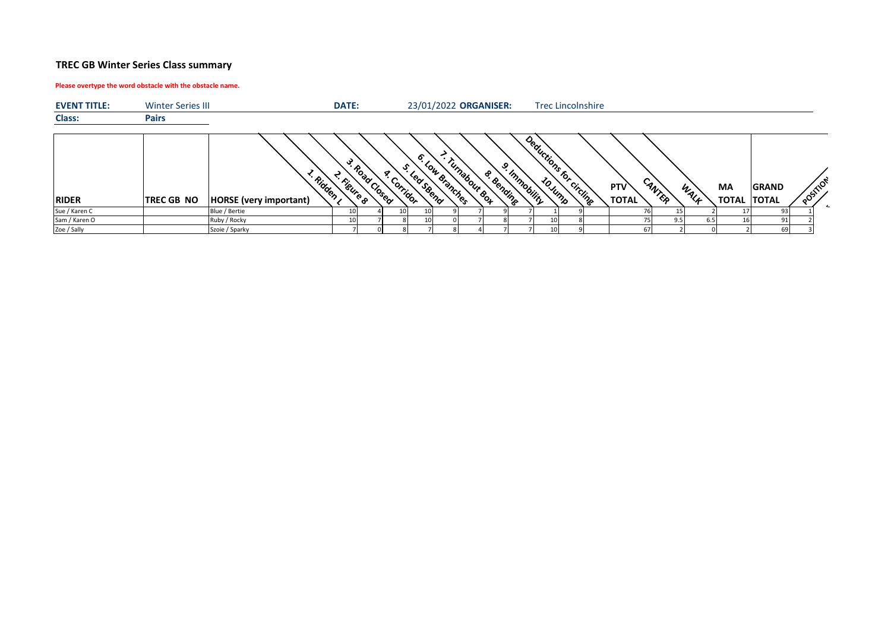# **TREC GB Winter Series Class summary**

## **Please overtype the word obstacle with the obstacle name.**

| <b>EVENT TITLE:</b> | <b>Winter Series III</b> |                                           | <b>DATE:</b>    |               |            |                                     |              |                 | 23/01/2022 ORGANISER:      |              | <b>Trec Lincolnshire</b> |  |                            |        |      |                                 |              |          |
|---------------------|--------------------------|-------------------------------------------|-----------------|---------------|------------|-------------------------------------|--------------|-----------------|----------------------------|--------------|--------------------------|--|----------------------------|--------|------|---------------------------------|--------------|----------|
| <b>Class:</b>       | <b>Pairs</b>             |                                           |                 |               |            |                                     |              |                 |                            |              |                          |  |                            |        |      |                                 |              |          |
| <b>RIDER</b>        | <b>TREC GB NO</b>        | · Ridden<br><b>HORSE</b> (very important) | ఛ<br>- Figure 8 | · Road Closed | - Corridor | $\bullet$<br><sup>Lear</sup> Steena | Low Branches | · Turnabour &o4 | وي<br><b>&amp; Bending</b> | - Immobility | Deductions for circling  |  | <b>PTV</b><br><b>TOTAL</b> | CANTER | WALF | <b>MA</b><br><b>TOTAL TOTAL</b> | <b>GRAND</b> | POSITION |
| Sue / Karen C       |                          | Blue / Bertie                             |                 |               | 10         |                                     |              |                 |                            |              |                          |  |                            | 15     |      |                                 | 93.          |          |
| Sam / Karen O       |                          | Ruby / Rocky                              |                 |               |            |                                     |              |                 |                            |              | 10                       |  |                            | 9.5    | 6.5  |                                 | 91           |          |
| Zoe / Sally         |                          | Szoie / Sparky                            |                 |               |            |                                     |              |                 |                            |              | 10                       |  | 67                         |        |      |                                 | 69           |          |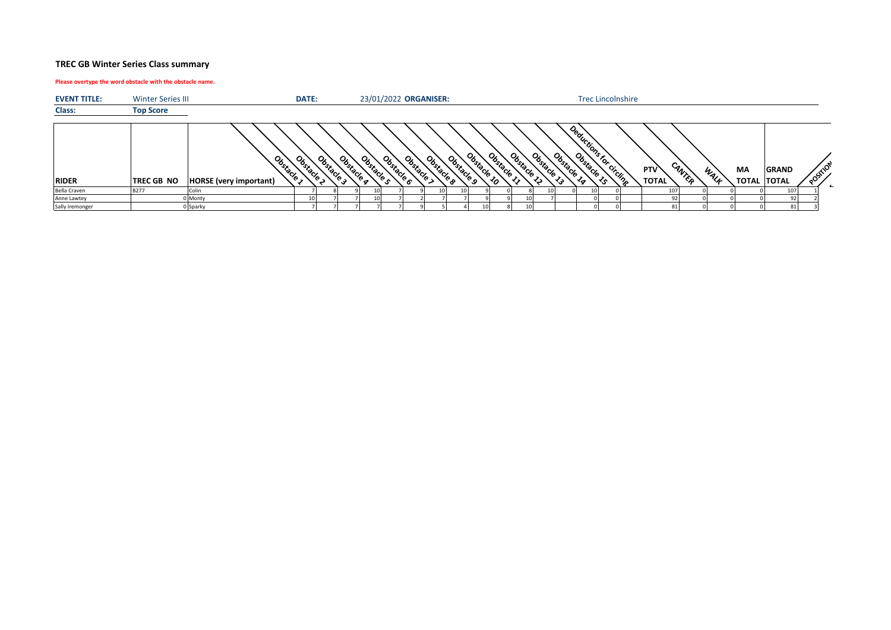## **TREC GB Winter Series Class summary**

#### **Please overtype the word obstacle with the obstacle name.**

| <b>EVENT TITLE:</b> | <b>Winter Series III</b> |                                                  | DATE:          |          |                      |          | 23/01/2022 ORGANISER: |                 |          |                   |                    |                                |          |          |                         | <b>Trec Lincolnshire</b> |                            |        |      |    |                                    |                    |  |
|---------------------|--------------------------|--------------------------------------------------|----------------|----------|----------------------|----------|-----------------------|-----------------|----------|-------------------|--------------------|--------------------------------|----------|----------|-------------------------|--------------------------|----------------------------|--------|------|----|------------------------------------|--------------------|--|
| Class:              | <b>Top Score</b>         |                                                  |                |          |                      |          |                       |                 |          |                   |                    |                                |          |          |                         |                          |                            |        |      |    |                                    |                    |  |
| <b>RIDER</b>        | <b>TREC GB NO</b>        | o,<br>- bstacle<br><b>HORSE</b> (very important) | U,<br>-bstacle | -bstacks | Ubstacle<br>Jbstacle | Ubstacle | Ubstacle              | <b>Jbstacle</b> | Obstacle | ಀೢೢ<br><b>POR</b> | User<br><b>POR</b> | Y <sub>sx</sub><br><b>PORT</b> | Obstacle | Obstacle | Deadchicha for circline |                          | <b>PTV</b><br><b>TOTAL</b> | CANTER | WALL | MA | <b>GRAND</b><br><b>TOTAL TOTAL</b> | $\infty$<br>aosin' |  |
| Bella Craven        | <b>B277</b>              | <b>Colir</b>                                     |                |          |                      |          |                       |                 |          |                   |                    |                                |          |          |                         |                          | 107                        |        |      |    | 107                                |                    |  |
| Anne Lawtey         |                          | 0 Monty                                          |                |          | 10 I                 |          |                       |                 |          |                   |                    |                                |          |          |                         |                          |                            |        |      |    | $Q^2$                              |                    |  |
| Sally Iremonger     |                          | 0 Sparky                                         |                |          |                      |          |                       |                 |          |                   |                    |                                |          |          |                         |                          |                            |        |      |    | 81                                 |                    |  |